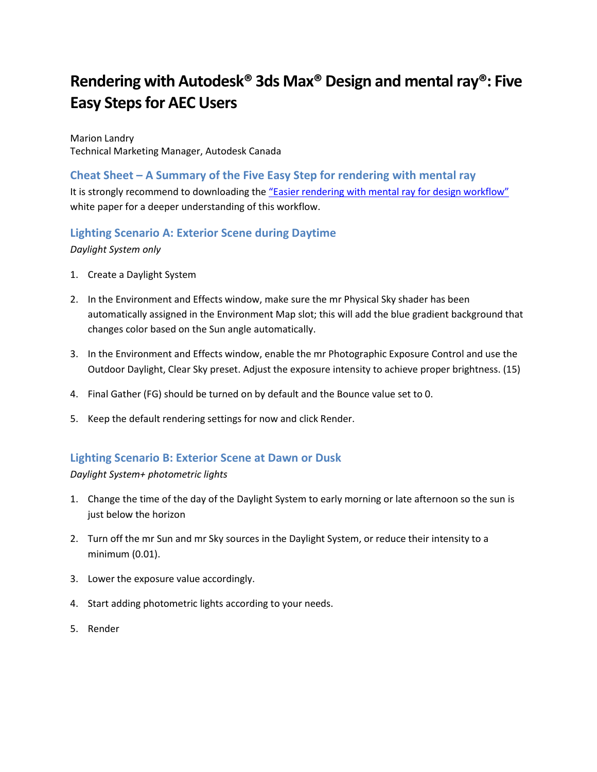# **Rendering with Autodesk® 3ds Max® Design and mental ray®: Five Easy Steps for AEC Users**

Marion Landry Technical Marketing Manager, Autodesk Canada

**Cheat Sheet – A Summary of the Five Easy Step for rendering with mental ray** It is strongly recommend to downloading the ["Easier rendering with mental ray for design workflow"](http://usa.autodesk.com/3ds-max/white-papers/) white paper for a deeper understanding of this workflow.

## **Lighting Scenario A: Exterior Scene during Daytime**

*Daylight System only*

- 1. Create a Daylight System
- 2. In the Environment and Effects window, make sure the mr Physical Sky shader has been automatically assigned in the Environment Map slot; this will add the blue gradient background that changes color based on the Sun angle automatically.
- 3. In the Environment and Effects window, enable the mr Photographic Exposure Control and use the Outdoor Daylight, Clear Sky preset. Adjust the exposure intensity to achieve proper brightness. (15)
- 4. Final Gather (FG) should be turned on by default and the Bounce value set to 0.
- 5. Keep the default rendering settings for now and click Render.

## **Lighting Scenario B: Exterior Scene at Dawn or Dusk**

#### *Daylight System+ photometric lights*

- 1. Change the time of the day of the Daylight System to early morning or late afternoon so the sun is just below the horizon
- 2. Turn off the mr Sun and mr Sky sources in the Daylight System, or reduce their intensity to a minimum (0.01).
- 3. Lower the exposure value accordingly.
- 4. Start adding photometric lights according to your needs.
- 5. Render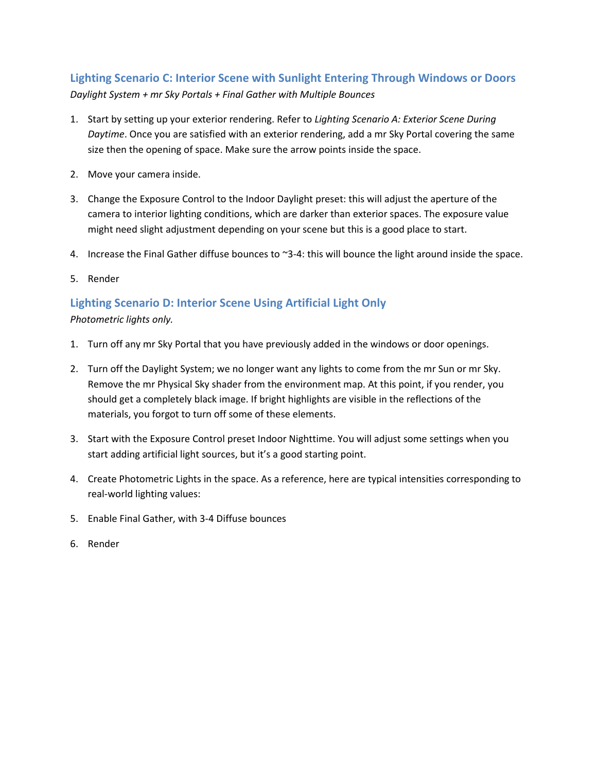# **Lighting Scenario C: Interior Scene with Sunlight Entering Through Windows or Doors** *Daylight System + mr Sky Portals + Final Gather with Multiple Bounces*

- 1. Start by setting up your exterior rendering. Refer to *Lighting Scenario A: Exterior Scene During Daytime*. Once you are satisfied with an exterior rendering, add a mr Sky Portal covering the same size then the opening of space. Make sure the arrow points inside the space.
- 2. Move your camera inside.
- 3. Change the Exposure Control to the Indoor Daylight preset: this will adjust the aperture of the camera to interior lighting conditions, which are darker than exterior spaces. The exposure value might need slight adjustment depending on your scene but this is a good place to start.
- 4. Increase the Final Gather diffuse bounces to ~3-4: this will bounce the light around inside the space.
- 5. Render

# **Lighting Scenario D: Interior Scene Using Artificial Light Only**

### *Photometric lights only.*

- 1. Turn off any mr Sky Portal that you have previously added in the windows or door openings.
- 2. Turn off the Daylight System; we no longer want any lights to come from the mr Sun or mr Sky. Remove the mr Physical Sky shader from the environment map. At this point, if you render, you should get a completely black image. If bright highlights are visible in the reflections of the materials, you forgot to turn off some of these elements.
- 3. Start with the Exposure Control preset Indoor Nighttime. You will adjust some settings when you start adding artificial light sources, but it's a good starting point.
- 4. Create Photometric Lights in the space. As a reference, here are typical intensities corresponding to real-world lighting values:
- 5. Enable Final Gather, with 3-4 Diffuse bounces
- 6. Render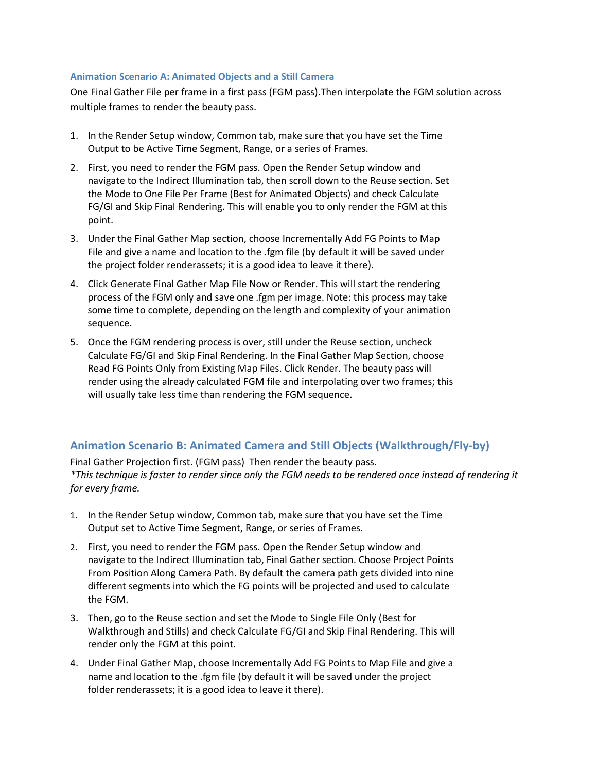#### **Animation Scenario A: Animated Objects and a Still Camera**

One Final Gather File per frame in a first pass (FGM pass).Then interpolate the FGM solution across multiple frames to render the beauty pass.

- 1. In the Render Setup window, Common tab, make sure that you have set the Time Output to be Active Time Segment, Range, or a series of Frames.
- 2. First, you need to render the FGM pass. Open the Render Setup window and navigate to the Indirect Illumination tab, then scroll down to the Reuse section. Set the Mode to One File Per Frame (Best for Animated Objects) and check Calculate FG/GI and Skip Final Rendering. This will enable you to only render the FGM at this point.
- 3. Under the Final Gather Map section, choose Incrementally Add FG Points to Map File and give a name and location to the .fgm file (by default it will be saved under the project folder renderassets; it is a good idea to leave it there).
- 4. Click Generate Final Gather Map File Now or Render. This will start the rendering process of the FGM only and save one .fgm per image. Note: this process may take some time to complete, depending on the length and complexity of your animation sequence.
- 5. Once the FGM rendering process is over, still under the Reuse section, uncheck Calculate FG/GI and Skip Final Rendering. In the Final Gather Map Section, choose Read FG Points Only from Existing Map Files. Click Render. The beauty pass will render using the already calculated FGM file and interpolating over two frames; this will usually take less time than rendering the FGM sequence.

## **Animation Scenario B: Animated Camera and Still Objects (Walkthrough/Fly-by)**

Final Gather Projection first. (FGM pass) Then render the beauty pass. *\*This technique is faster to render since only the FGM needs to be rendered once instead of rendering it for every frame.* 

- 1. In the Render Setup window, Common tab, make sure that you have set the Time Output set to Active Time Segment, Range, or series of Frames.
- 2. First, you need to render the FGM pass. Open the Render Setup window and navigate to the Indirect Illumination tab, Final Gather section. Choose Project Points From Position Along Camera Path. By default the camera path gets divided into nine different segments into which the FG points will be projected and used to calculate the FGM.
- 3. Then, go to the Reuse section and set the Mode to Single File Only (Best for Walkthrough and Stills) and check Calculate FG/GI and Skip Final Rendering. This will render only the FGM at this point.
- 4. Under Final Gather Map, choose Incrementally Add FG Points to Map File and give a name and location to the .fgm file (by default it will be saved under the project folder renderassets; it is a good idea to leave it there).